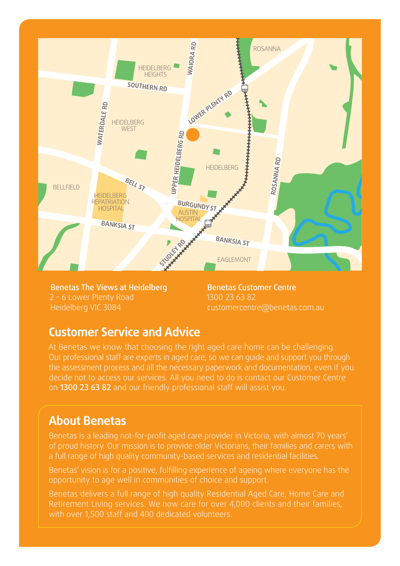

Benetas The Views at Heidelberg 2 - 6 Lower Plenty Road Heidelberg VIC 3084

Benetas Customer Centre 1300 23 63 82 customercentre@benetas.com.au

#### **Customer Service and Advice**

At Benetas we know that choosing the right aged care home can be challenging. Our professional staff are experts in aged care, so we can guide and support you through the assessment process and all the necessary paperwork and documentation, even if you decide not to access our services. All you need to do is contact our Customer Centre on 1300 23 63 82 and our friendly professional staff will assist you.

#### **About Benetas**

Benetas is a leading not-for-profit aged care provider in Victoria, with almost 70 years' of proud history. Our mission is to provide older Victorians, their families and carers with a full range of high quality community-based services and residential facilities.

Benetas' vision is for a positive, fulfilling experience of ageing where everyone has the opportunity to age well in communities of choice and support.

Benetas delivers a full range of high quality Residential Aged Care, Home Care and Retirement Living services. We now care for over 4,000 clients and their families, with over 1,500 staff and 400 dedicated volunteers.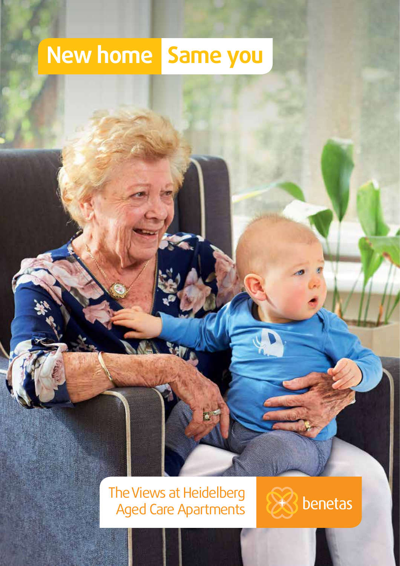# **New home Same you**

# The Views at Heidelberg Aged Care Apartments

×.

Y47

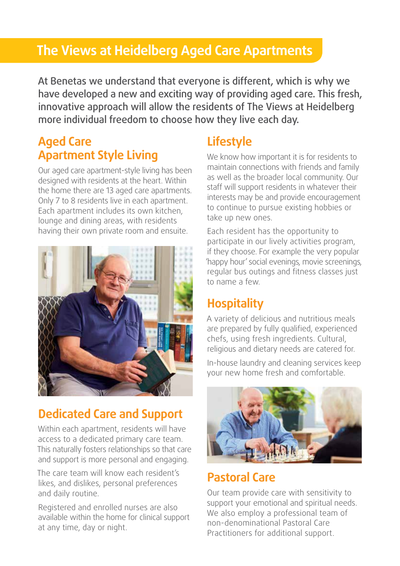# **The Views at Heidelberg Aged Care Apartments**

At Benetas we understand that everyone is different, which is why we have developed a new and exciting way of providing aged care. This fresh, innovative approach will allow the residents of The Views at Heidelberg more individual freedom to choose how they live each day.

#### **Aged Care Apartment Style Living**

Our aged care apartment-style living has been designed with residents at the heart. Within the home there are 13 aged care apartments. Only 7 to 8 residents live in each apartment. Each apartment includes its own kitchen, lounge and dining areas, with residents having their own private room and ensuite.



#### **Dedicated Care and Support**

Within each apartment, residents will have access to a dedicated primary care team. This naturally fosters relationships so that care and support is more personal and engaging.

The care team will know each resident's likes, and dislikes, personal preferences and daily routine.

Registered and enrolled nurses are also available within the home for clinical support at any time, day or night.

# **Lifestyle**

We know how important it is for residents to maintain connections with friends and family as well as the broader local community. Our staff will support residents in whatever their interests may be and provide encouragement to continue to pursue existing hobbies or take up new ones.

Each resident has the opportunity to participate in our lively activities program, if they choose. For example the very popular 'happy hour' social evenings, movie screenings, regular bus outings and fitness classes just to name a few.

### **Hospitality**

A variety of delicious and nutritious meals are prepared by fully qualified, experienced chefs, using fresh ingredients. Cultural, religious and dietary needs are catered for.

In-house laundry and cleaning services keep your new home fresh and comfortable.



#### **Pastoral Care**

Our team provide care with sensitivity to support your emotional and spiritual needs. We also employ a professional team of non-denominational Pastoral Care Practitioners for additional support.